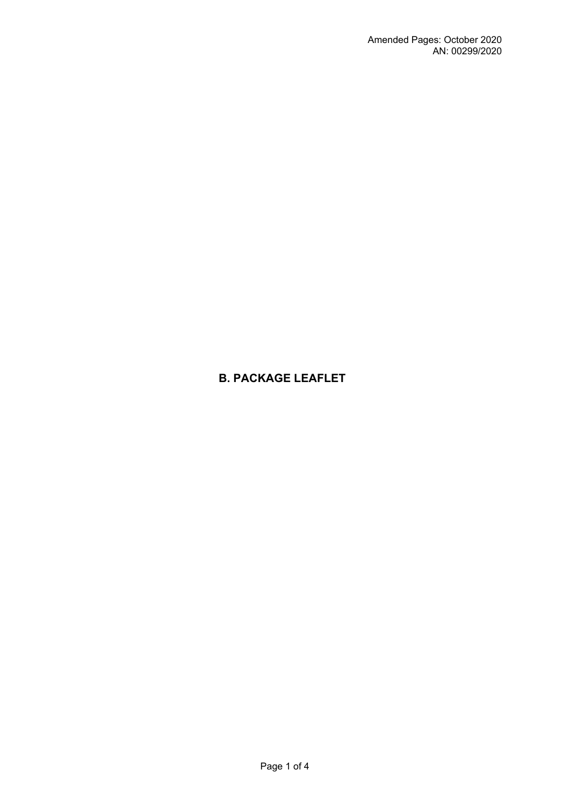# **B. PACKAGE LEAFLET**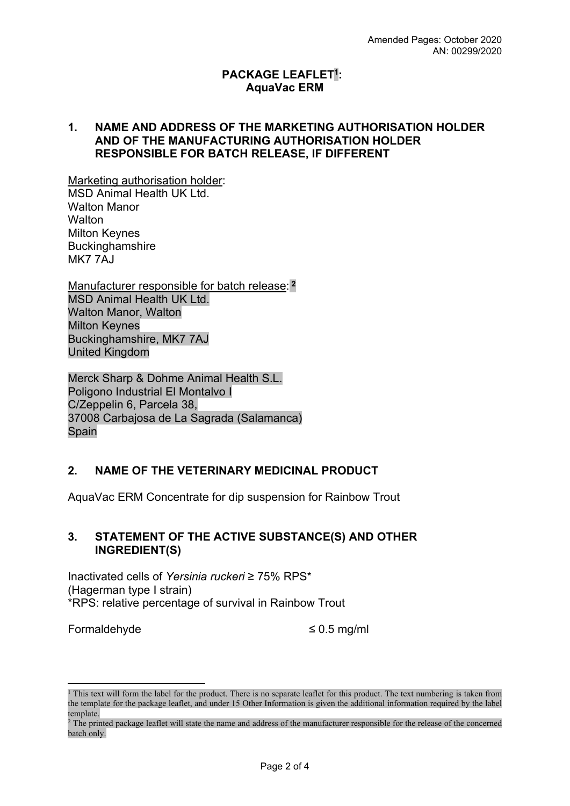### **PACKAGE LEAFLET<sup>1</sup> : AquaVac ERM**

#### **1. NAME AND ADDRESS OF THE MARKETING AUTHORISATION HOLDER AND OF THE MANUFACTURING AUTHORISATION HOLDER RESPONSIBLE FOR BATCH RELEASE, IF DIFFERENT**

Marketing authorisation holder: MSD Animal Health UK Ltd. Walton Manor **Walton** Milton Keynes **Buckinghamshire** MK7 7AJ

Manufacturer responsible for batch release:**<sup>2</sup>** MSD Animal Health UK Ltd. Walton Manor, Walton Milton Keynes Buckinghamshire, MK7 7AJ United Kingdom

Merck Sharp & Dohme Animal Health S.L. Poligono Industrial El Montalvo I C/Zeppelin 6, Parcela 38, 37008 Carbajosa de La Sagrada (Salamanca) Spain

## **2. NAME OF THE VETERINARY MEDICINAL PRODUCT**

AquaVac ERM Concentrate for dip suspension for Rainbow Trout

### **3. STATEMENT OF THE ACTIVE SUBSTANCE(S) AND OTHER INGREDIENT(S)**

Inactivated cells of *Yersinia ruckeri* ≥ 75% RPS\* (Hagerman type I strain) \*RPS: relative percentage of survival in Rainbow Trout

Formaldehyde ≤ 0.5 mg/ml

<sup>&</sup>lt;sup>1</sup> This text will form the label for the product. There is no separate leaflet for this product. The text numbering is taken from the template for the package leaflet, and under 15 Other Information is given the additional information required by the label template.

<sup>&</sup>lt;sup>2</sup> The printed package leaflet will state the name and address of the manufacturer responsible for the release of the concerned batch only.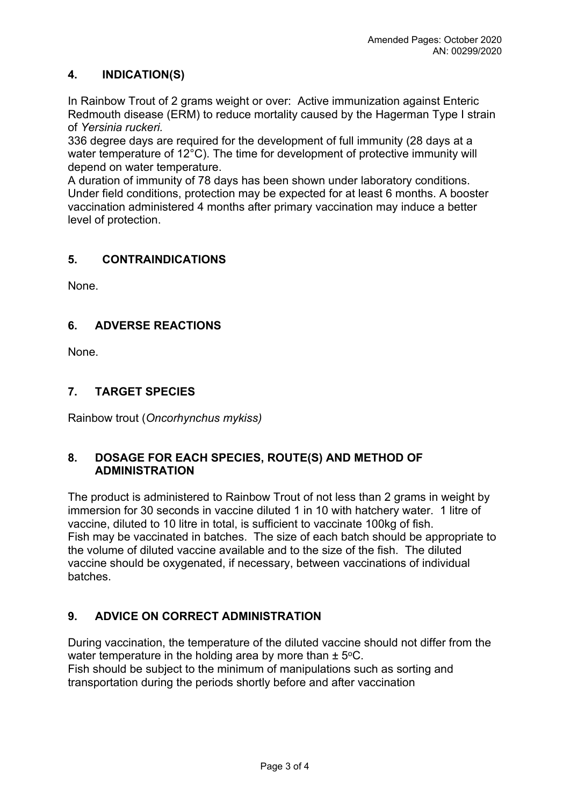### **4. INDICATION(S)**

In Rainbow Trout of 2 grams weight or over: Active immunization against Enteric Redmouth disease (ERM) to reduce mortality caused by the Hagerman Type I strain of *Yersinia ruckeri.*

336 degree days are required for the development of full immunity (28 days at a water temperature of 12°C). The time for development of protective immunity will depend on water temperature.

A duration of immunity of 78 days has been shown under laboratory conditions. Under field conditions, protection may be expected for at least 6 months. A booster vaccination administered 4 months after primary vaccination may induce a better level of protection.

### **5. CONTRAINDICATIONS**

None.

### **6. ADVERSE REACTIONS**

None.

### **7. TARGET SPECIES**

Rainbow trout (*Oncorhynchus mykiss)*

### **8. DOSAGE FOR EACH SPECIES, ROUTE(S) AND METHOD OF ADMINISTRATION**

The product is administered to Rainbow Trout of not less than 2 grams in weight by immersion for 30 seconds in vaccine diluted 1 in 10 with hatchery water. 1 litre of vaccine, diluted to 10 litre in total, is sufficient to vaccinate 100kg of fish. Fish may be vaccinated in batches. The size of each batch should be appropriate to the volume of diluted vaccine available and to the size of the fish. The diluted vaccine should be oxygenated, if necessary, between vaccinations of individual batches.

## **9. ADVICE ON CORRECT ADMINISTRATION**

During vaccination, the temperature of the diluted vaccine should not differ from the water temperature in the holding area by more than  $\pm$  5°C. Fish should be subject to the minimum of manipulations such as sorting and transportation during the periods shortly before and after vaccination